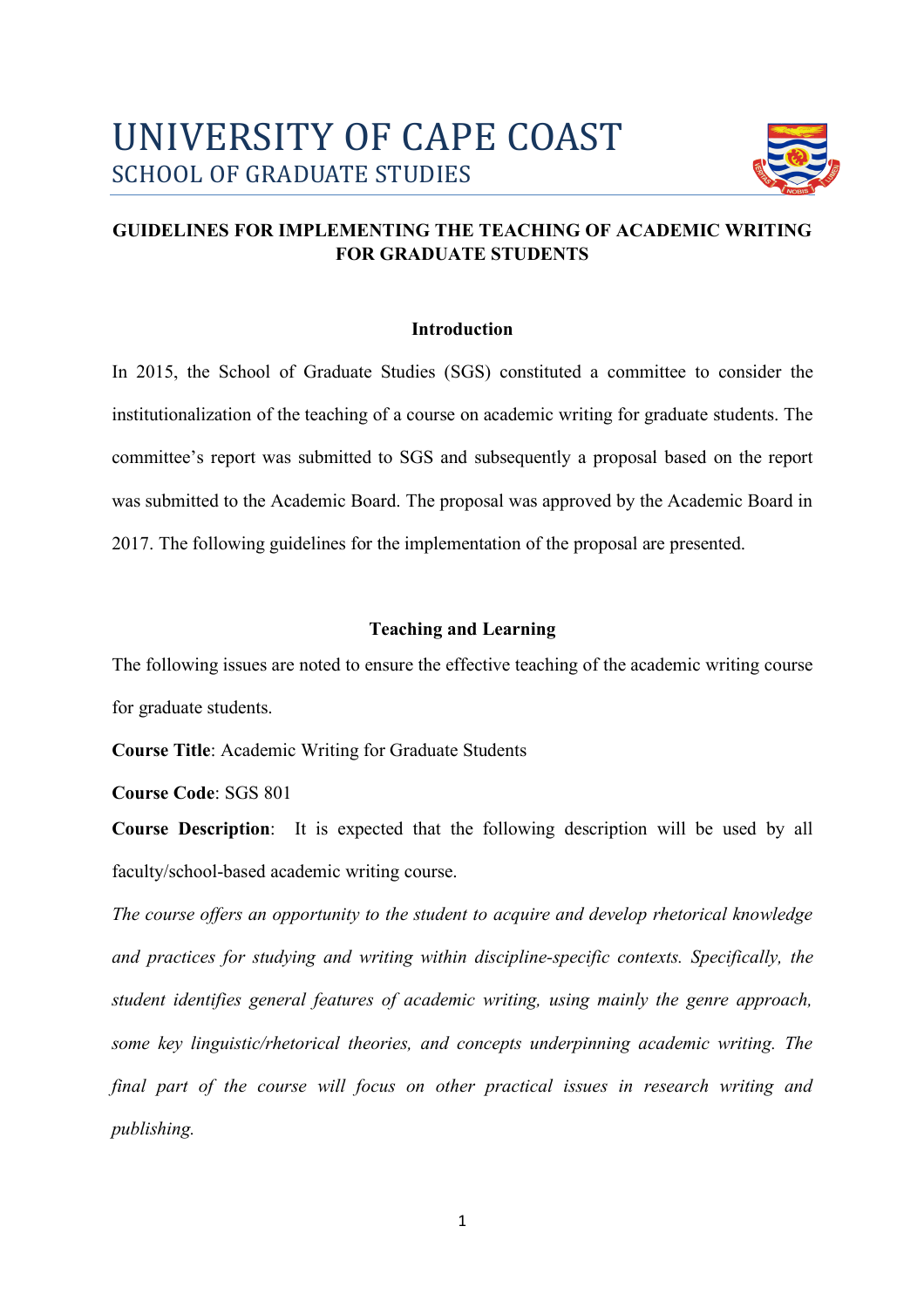

# **GUIDELINES FOR IMPLEMENTING THE TEACHING OF ACADEMIC WRITING FOR GRADUATE STUDENTS**

### **Introduction**

In 2015, the School of Graduate Studies (SGS) constituted a committee to consider the institutionalization of the teaching of a course on academic writing for graduate students. The committee's report was submitted to SGS and subsequently a proposal based on the report was submitted to the Academic Board. The proposal was approved by the Academic Board in 2017. The following guidelines for the implementation of the proposal are presented.

### **Teaching and Learning**

The following issues are noted to ensure the effective teaching of the academic writing course for graduate students.

**Course Title**: Academic Writing for Graduate Students

**Course Code**: SGS 801

**Course Description**: It is expected that the following description will be used by all faculty/school-based academic writing course.

*The course offers an opportunity to the student to acquire and develop rhetorical knowledge and practices for studying and writing within discipline-specific contexts. Specifically, the student identifies general features of academic writing, using mainly the genre approach, some key linguistic/rhetorical theories, and concepts underpinning academic writing. The final part of the course will focus on other practical issues in research writing and publishing.*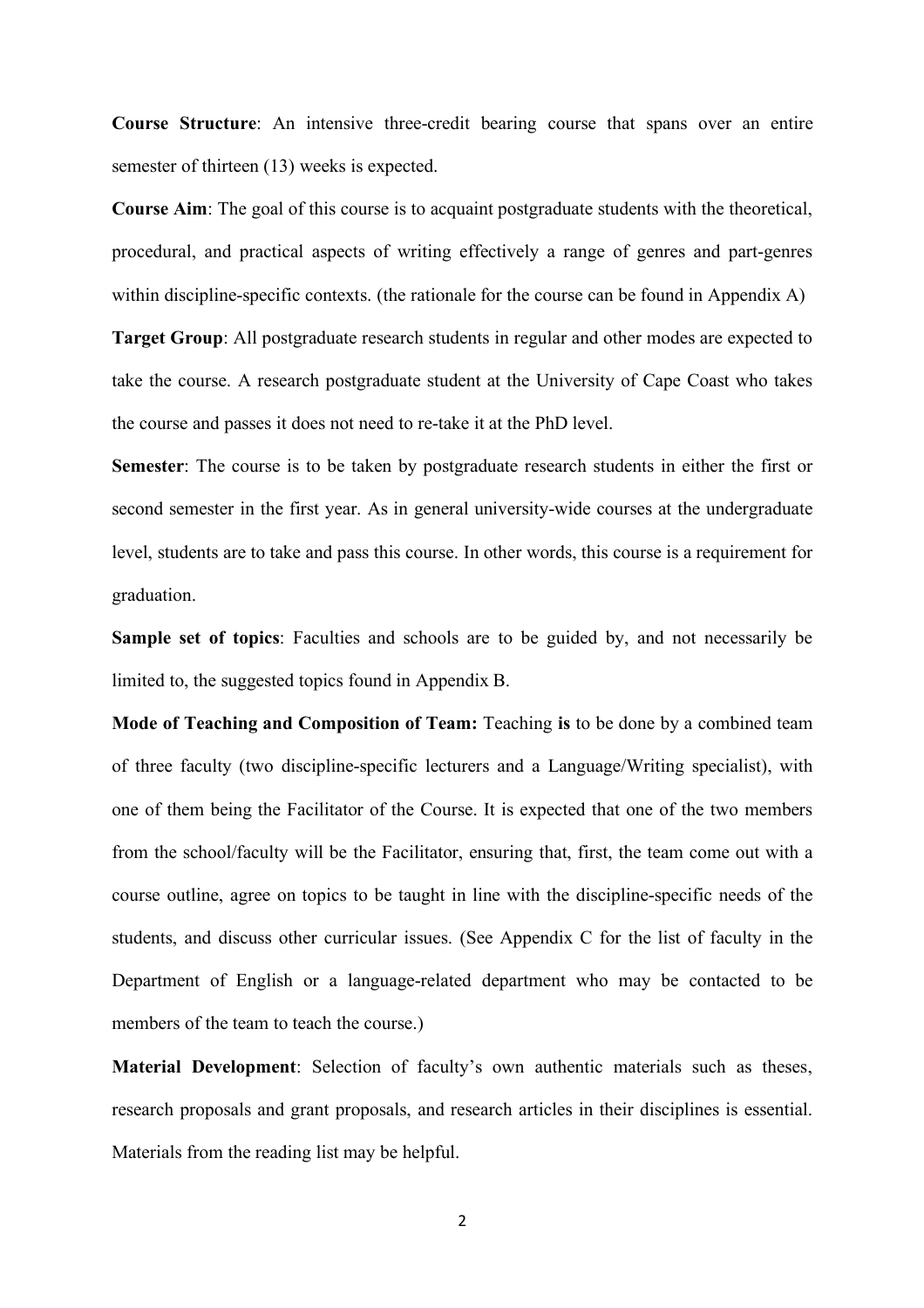**Course Structure**: An intensive three-credit bearing course that spans over an entire semester of thirteen (13) weeks is expected.

**Course Aim**: The goal of this course is to acquaint postgraduate students with the theoretical, procedural, and practical aspects of writing effectively a range of genres and part-genres within discipline-specific contexts. (the rationale for the course can be found in Appendix A)

**Target Group**: All postgraduate research students in regular and other modes are expected to take the course. A research postgraduate student at the University of Cape Coast who takes the course and passes it does not need to re-take it at the PhD level.

**Semester**: The course is to be taken by postgraduate research students in either the first or second semester in the first year. As in general university-wide courses at the undergraduate level, students are to take and pass this course. In other words, this course is a requirement for graduation.

**Sample set of topics**: Faculties and schools are to be guided by, and not necessarily be limited to, the suggested topics found in Appendix B.

**Mode of Teaching and Composition of Team:** Teaching **is** to be done by a combined team of three faculty (two discipline-specific lecturers and a Language/Writing specialist), with one of them being the Facilitator of the Course. It is expected that one of the two members from the school/faculty will be the Facilitator, ensuring that, first, the team come out with a course outline, agree on topics to be taught in line with the discipline-specific needs of the students, and discuss other curricular issues. (See Appendix C for the list of faculty in the Department of English or a language-related department who may be contacted to be members of the team to teach the course.)

**Material Development**: Selection of faculty's own authentic materials such as theses, research proposals and grant proposals, and research articles in their disciplines is essential. Materials from the reading list may be helpful.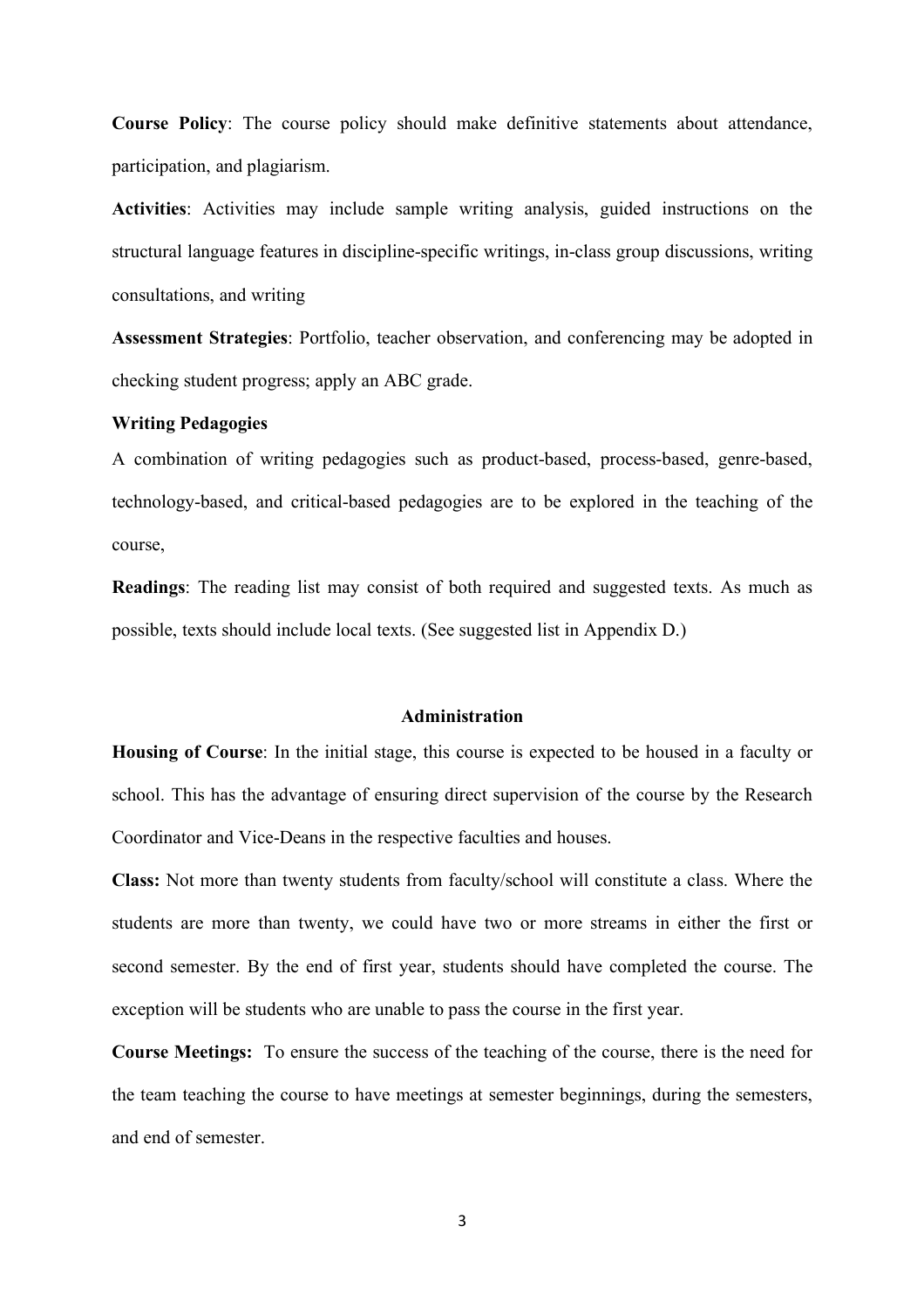**Course Policy**: The course policy should make definitive statements about attendance, participation, and plagiarism.

**Activities**: Activities may include sample writing analysis, guided instructions on the structural language features in discipline-specific writings, in-class group discussions, writing consultations, and writing

**Assessment Strategies**: Portfolio, teacher observation, and conferencing may be adopted in checking student progress; apply an ABC grade.

#### **Writing Pedagogies**

A combination of writing pedagogies such as product-based, process-based, genre-based, technology-based, and critical-based pedagogies are to be explored in the teaching of the course,

**Readings**: The reading list may consist of both required and suggested texts. As much as possible, texts should include local texts. (See suggested list in Appendix D.)

### **Administration**

**Housing of Course**: In the initial stage, this course is expected to be housed in a faculty or school. This has the advantage of ensuring direct supervision of the course by the Research Coordinator and Vice-Deans in the respective faculties and houses.

**Class:** Not more than twenty students from faculty/school will constitute a class. Where the students are more than twenty, we could have two or more streams in either the first or second semester. By the end of first year, students should have completed the course. The exception will be students who are unable to pass the course in the first year.

**Course Meetings:** To ensure the success of the teaching of the course, there is the need for the team teaching the course to have meetings at semester beginnings, during the semesters, and end of semester.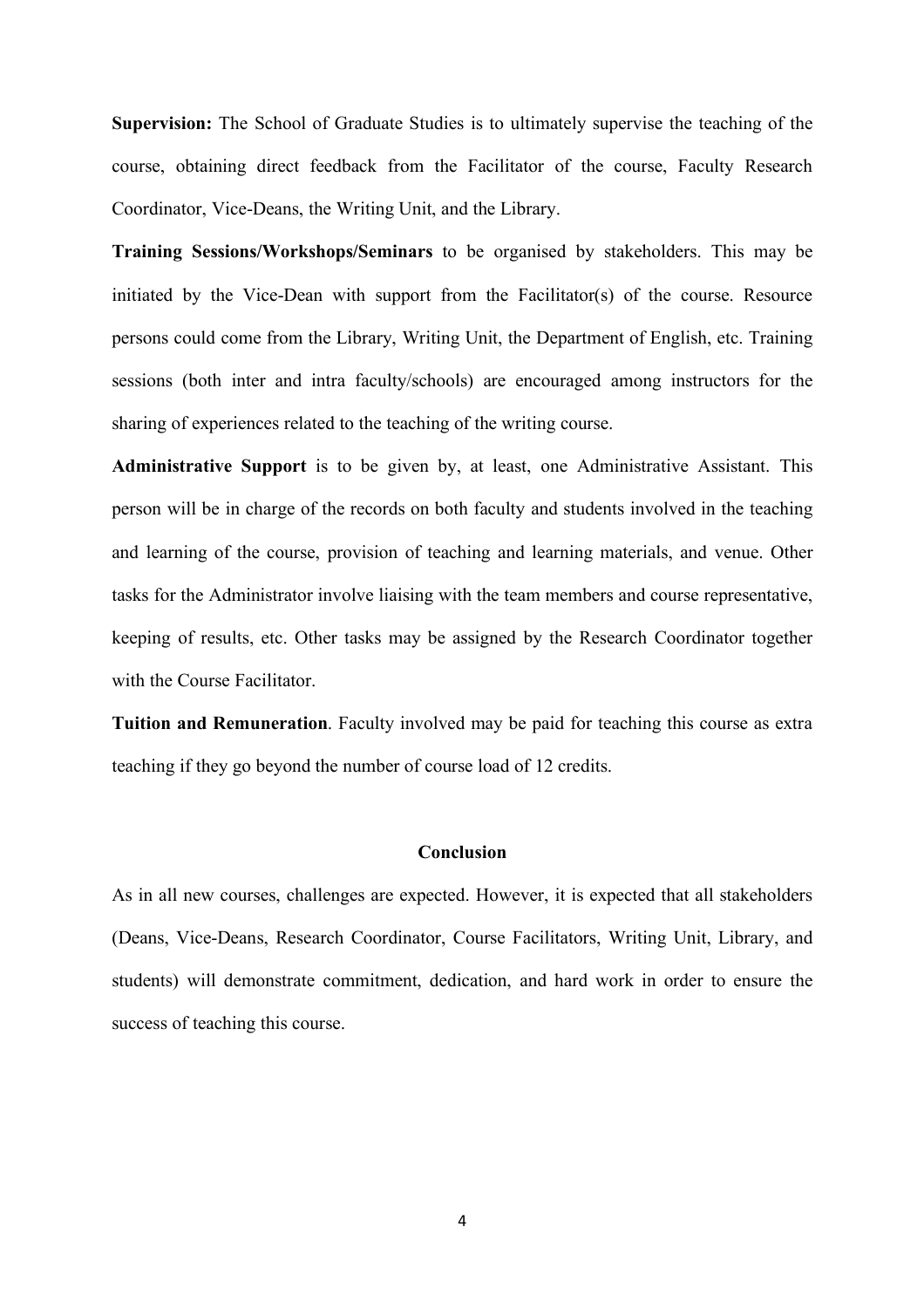**Supervision:** The School of Graduate Studies is to ultimately supervise the teaching of the course, obtaining direct feedback from the Facilitator of the course, Faculty Research Coordinator, Vice-Deans, the Writing Unit, and the Library.

**Training Sessions/Workshops/Seminars** to be organised by stakeholders. This may be initiated by the Vice-Dean with support from the Facilitator(s) of the course. Resource persons could come from the Library, Writing Unit, the Department of English, etc. Training sessions (both inter and intra faculty/schools) are encouraged among instructors for the sharing of experiences related to the teaching of the writing course.

**Administrative Support** is to be given by, at least, one Administrative Assistant. This person will be in charge of the records on both faculty and students involved in the teaching and learning of the course, provision of teaching and learning materials, and venue. Other tasks for the Administrator involve liaising with the team members and course representative, keeping of results, etc. Other tasks may be assigned by the Research Coordinator together with the Course Facilitator.

**Tuition and Remuneration**. Faculty involved may be paid for teaching this course as extra teaching if they go beyond the number of course load of 12 credits.

#### **Conclusion**

As in all new courses, challenges are expected. However, it is expected that all stakeholders (Deans, Vice-Deans, Research Coordinator, Course Facilitators, Writing Unit, Library, and students) will demonstrate commitment, dedication, and hard work in order to ensure the success of teaching this course.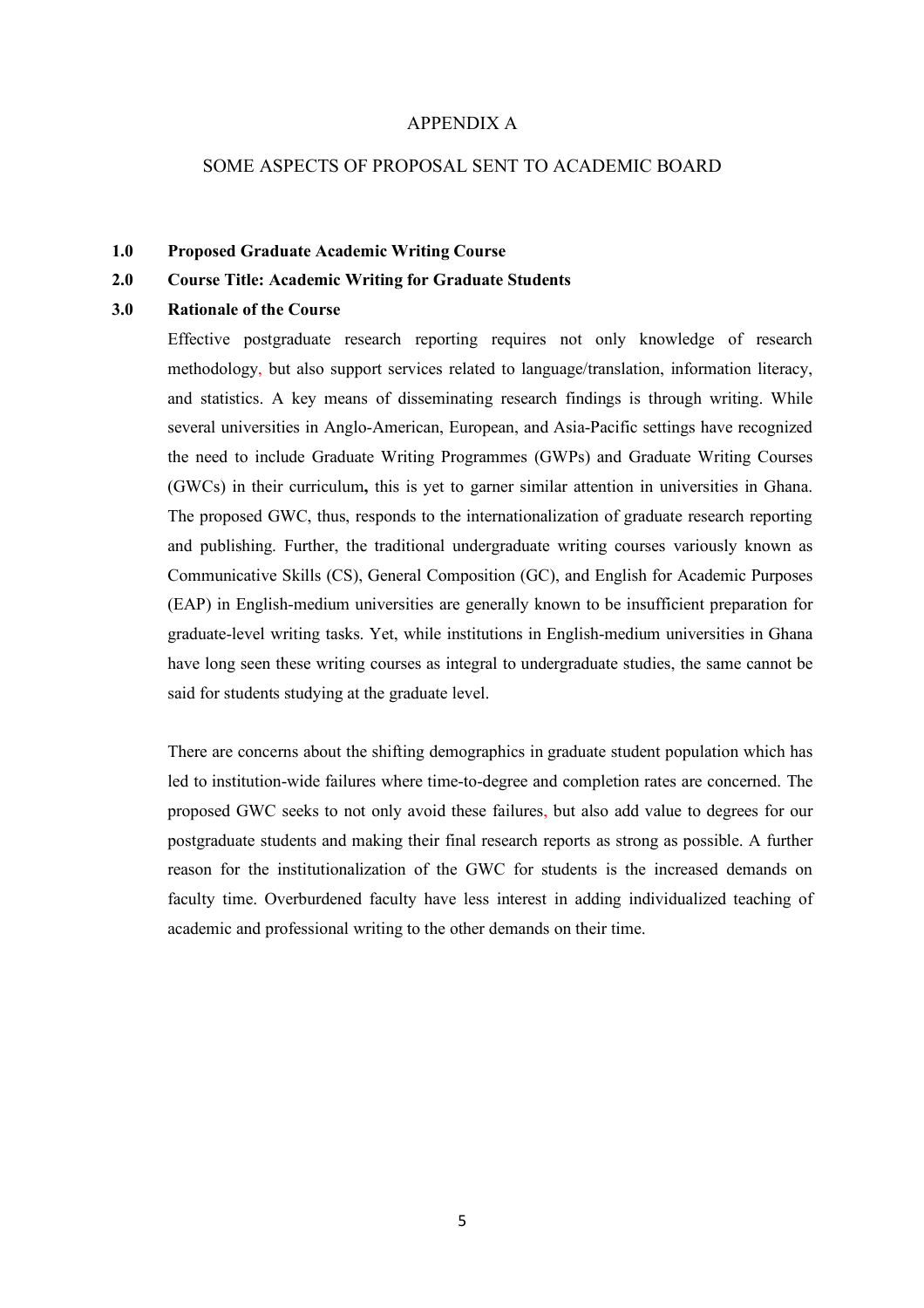#### APPENDIX A

### SOME ASPECTS OF PROPOSAL SENT TO ACADEMIC BOARD

#### **1.0 Proposed Graduate Academic Writing Course**

#### **2.0 Course Title: Academic Writing for Graduate Students**

#### **3.0 Rationale of the Course**

Effective postgraduate research reporting requires not only knowledge of research methodology, but also support services related to language/translation, information literacy, and statistics. A key means of disseminating research findings is through writing. While several universities in Anglo-American, European, and Asia-Pacific settings have recognized the need to include Graduate Writing Programmes (GWPs) and Graduate Writing Courses (GWCs) in their curriculum**,** this is yet to garner similar attention in universities in Ghana. The proposed GWC, thus, responds to the internationalization of graduate research reporting and publishing. Further, the traditional undergraduate writing courses variously known as Communicative Skills (CS), General Composition (GC), and English for Academic Purposes (EAP) in English-medium universities are generally known to be insufficient preparation for graduate-level writing tasks. Yet, while institutions in English-medium universities in Ghana have long seen these writing courses as integral to undergraduate studies, the same cannot be said for students studying at the graduate level.

There are concerns about the shifting demographics in graduate student population which has led to institution-wide failures where time-to-degree and completion rates are concerned. The proposed GWC seeks to not only avoid these failures, but also add value to degrees for our postgraduate students and making their final research reports as strong as possible. A further reason for the institutionalization of the GWC for students is the increased demands on faculty time. Overburdened faculty have less interest in adding individualized teaching of academic and professional writing to the other demands on their time.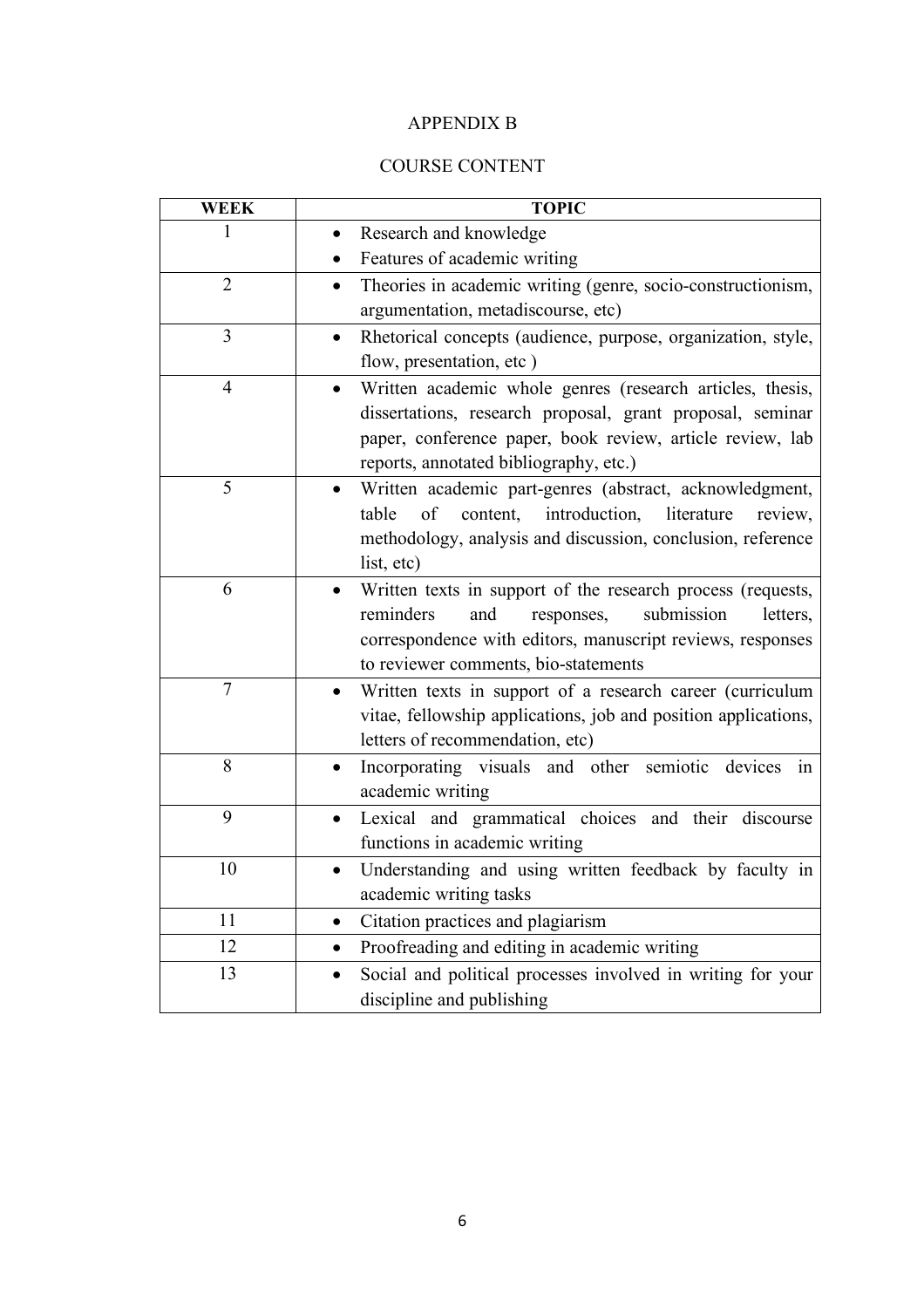# APPENDIX B

# COURSE CONTENT

| <b>WEEK</b>    | <b>TOPIC</b>                                                                               |  |  |  |
|----------------|--------------------------------------------------------------------------------------------|--|--|--|
| 1              | Research and knowledge                                                                     |  |  |  |
|                | Features of academic writing                                                               |  |  |  |
| $\overline{2}$ | Theories in academic writing (genre, socio-constructionism,<br>$\bullet$                   |  |  |  |
|                | argumentation, metadiscourse, etc)                                                         |  |  |  |
| 3              | Rhetorical concepts (audience, purpose, organization, style,<br>$\bullet$                  |  |  |  |
|                | flow, presentation, etc)                                                                   |  |  |  |
| $\overline{4}$ | Written academic whole genres (research articles, thesis,<br>$\bullet$                     |  |  |  |
|                | dissertations, research proposal, grant proposal, seminar                                  |  |  |  |
|                | paper, conference paper, book review, article review, lab                                  |  |  |  |
|                | reports, annotated bibliography, etc.)                                                     |  |  |  |
| 5              | Written academic part-genres (abstract, acknowledgment,                                    |  |  |  |
|                | content,<br>introduction,<br>of<br>literature<br>table<br>review,                          |  |  |  |
|                | methodology, analysis and discussion, conclusion, reference                                |  |  |  |
|                | list, etc)                                                                                 |  |  |  |
| 6              | Written texts in support of the research process (requests,<br>$\bullet$                   |  |  |  |
|                | reminders<br>submission<br>and<br>responses,<br>letters,                                   |  |  |  |
|                | correspondence with editors, manuscript reviews, responses                                 |  |  |  |
|                | to reviewer comments, bio-statements                                                       |  |  |  |
| $\overline{7}$ | Written texts in support of a research career (curriculum<br>$\bullet$                     |  |  |  |
|                | vitae, fellowship applications, job and position applications,                             |  |  |  |
| 8              | letters of recommendation, etc)                                                            |  |  |  |
|                | Incorporating visuals and other semiotic<br>devices<br>in<br>$\bullet$<br>academic writing |  |  |  |
| 9              | Lexical and grammatical choices and their discourse<br>$\bullet$                           |  |  |  |
|                | functions in academic writing                                                              |  |  |  |
| 10             | Understanding and using written feedback by faculty in<br>$\bullet$                        |  |  |  |
|                | academic writing tasks                                                                     |  |  |  |
| 11             | Citation practices and plagiarism<br>$\bullet$                                             |  |  |  |
| 12             |                                                                                            |  |  |  |
| 13             | Proofreading and editing in academic writing                                               |  |  |  |
|                | Social and political processes involved in writing for your<br>$\bullet$                   |  |  |  |
|                | discipline and publishing                                                                  |  |  |  |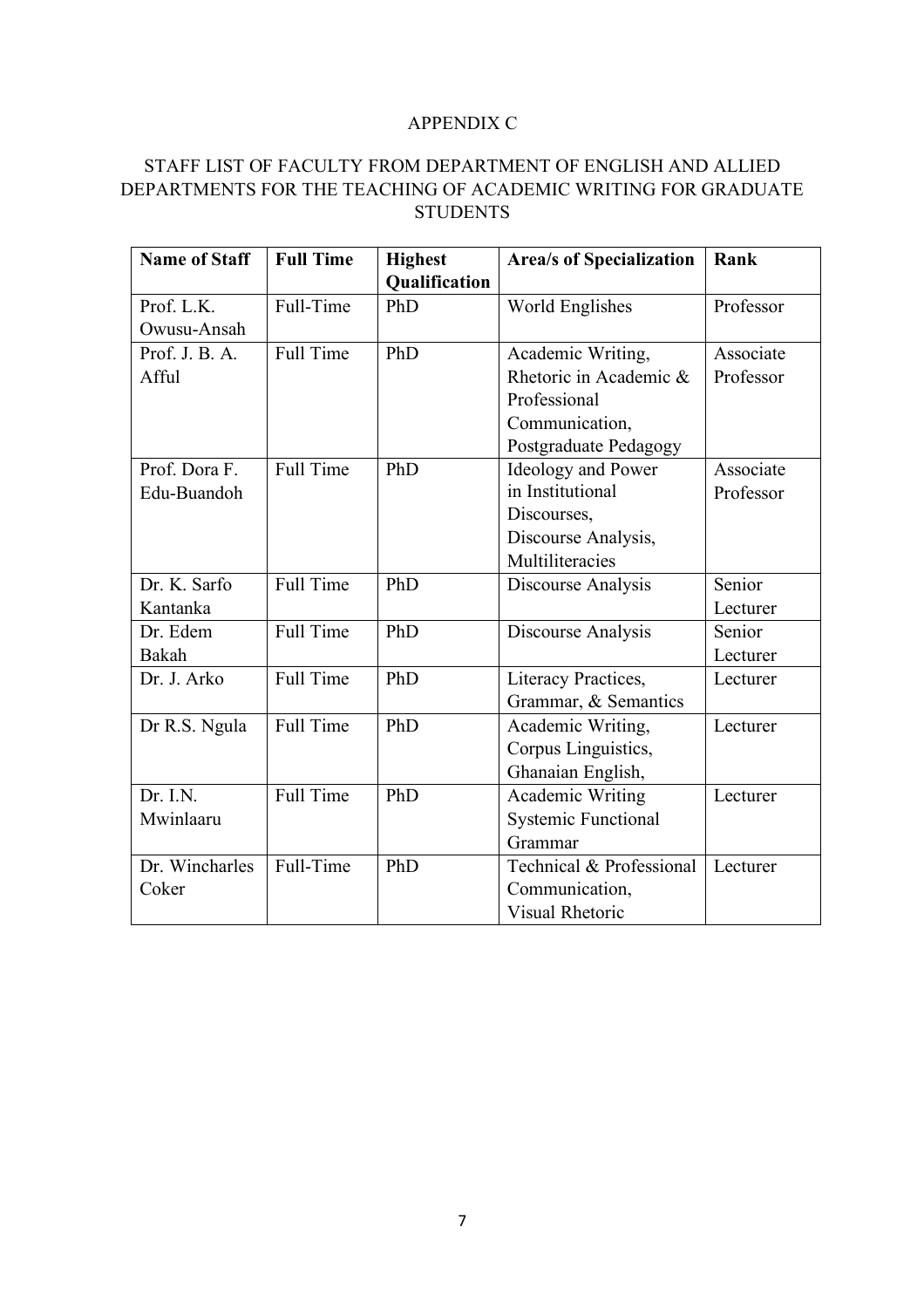### APPENDIX C

# STAFF LIST OF FACULTY FROM DEPARTMENT OF ENGLISH AND ALLIED DEPARTMENTS FOR THE TEACHING OF ACADEMIC WRITING FOR GRADUATE **STUDENTS**

| <b>Name of Staff</b> | <b>Full Time</b> | <b>Highest</b> | <b>Area/s of Specialization</b> | Rank      |
|----------------------|------------------|----------------|---------------------------------|-----------|
|                      |                  | Qualification  |                                 |           |
| Prof. L.K.           | Full-Time        | PhD            | World Englishes                 | Professor |
| Owusu-Ansah          |                  |                |                                 |           |
| Prof. J. B. A.       | Full Time        | PhD            | Academic Writing,               | Associate |
| Afful                |                  |                | Rhetoric in Academic &          | Professor |
|                      |                  |                | Professional                    |           |
|                      |                  |                | Communication,                  |           |
|                      |                  |                | Postgraduate Pedagogy           |           |
| Prof. Dora F.        | <b>Full Time</b> | PhD            | <b>Ideology and Power</b>       | Associate |
| Edu-Buandoh          |                  |                | in Institutional                | Professor |
|                      |                  |                | Discourses,                     |           |
|                      |                  |                | Discourse Analysis,             |           |
|                      |                  |                | Multiliteracies                 |           |
| Dr. K. Sarfo         | Full Time        | PhD            | Discourse Analysis              | Senior    |
| Kantanka             |                  |                |                                 | Lecturer  |
| Dr. Edem             | <b>Full Time</b> | PhD            | Discourse Analysis              | Senior    |
| Bakah                |                  |                |                                 | Lecturer  |
| Dr. J. Arko          | <b>Full Time</b> | PhD            | Literacy Practices,             | Lecturer  |
|                      |                  |                | Grammar, & Semantics            |           |
| Dr R.S. Ngula        | <b>Full Time</b> | PhD            | Academic Writing,               | Lecturer  |
|                      |                  |                | Corpus Linguistics,             |           |
|                      |                  |                | Ghanaian English,               |           |
| Dr. I.N.             | <b>Full Time</b> | PhD            | Academic Writing                | Lecturer  |
| Mwinlaaru            |                  |                | <b>Systemic Functional</b>      |           |
|                      |                  |                | Grammar                         |           |
| Dr. Wincharles       | Full-Time        | PhD            | Technical & Professional        | Lecturer  |
| Coker                |                  |                | Communication,                  |           |
|                      |                  |                | <b>Visual Rhetoric</b>          |           |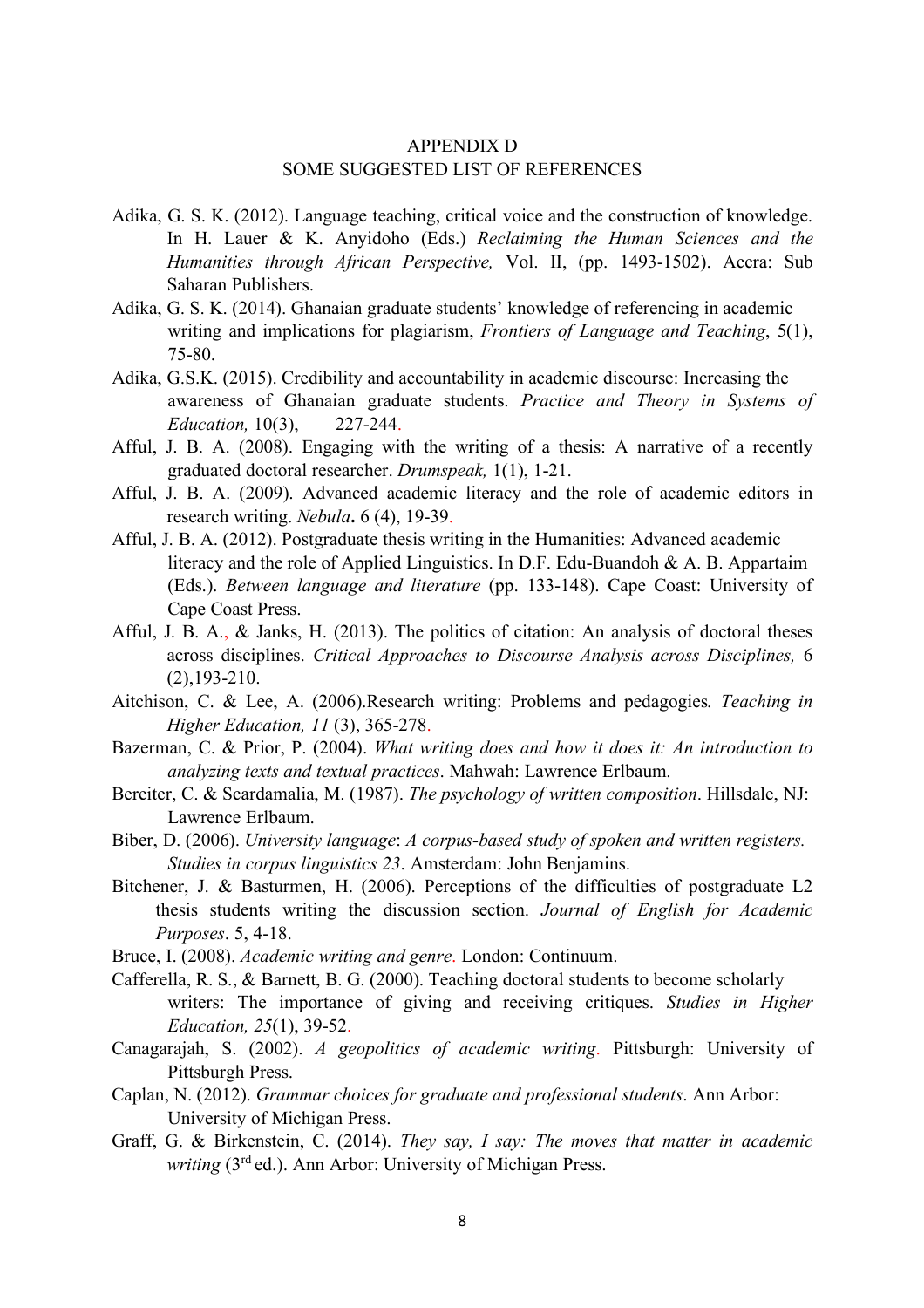## APPENDIX D SOME SUGGESTED LIST OF REFERENCES

- Adika, G. S. K. (2012). Language teaching, critical voice and the construction of knowledge. In H. Lauer & K. Anyidoho (Eds.) *Reclaiming the Human Sciences and the Humanities through African Perspective,* Vol. II, (pp. 1493-1502). Accra: Sub Saharan Publishers.
- Adika, G. S. K. (2014). Ghanaian graduate students' knowledge of referencing in academic writing and implications for plagiarism, *Frontiers of Language and Teaching*, 5(1), 75-80.
- Adika, G.S.K. (2015). Credibility and accountability in academic discourse: Increasing the awareness of Ghanaian graduate students. *Practice and Theory in Systems of Education,* 10(3), 227-244.
- Afful, J. B. A. (2008). Engaging with the writing of a thesis: A narrative of a recently graduated doctoral researcher. *Drumspeak,* 1(1), 1-21.
- Afful, J. B. A. (2009). Advanced academic literacy and the role of academic editors in research writing. *Nebula***.** 6 (4), 19-39.
- Afful, J. B. A. (2012). Postgraduate thesis writing in the Humanities: Advanced academic literacy and the role of Applied Linguistics. In D.F. Edu-Buandoh & A. B. Appartaim (Eds.). *Between language and literature* (pp. 133-148). Cape Coast: University of Cape Coast Press.
- Afful, J. B. A., & Janks, H. (2013). The politics of citation: An analysis of doctoral theses across disciplines. *Critical Approaches to Discourse Analysis across Disciplines,* 6 (2),193-210.
- Aitchison, C. & Lee, A. (2006).Research writing: Problems and pedagogies*. Teaching in Higher Education, 11* (3), 365-278.
- Bazerman, C. & Prior, P. (2004). *What writing does and how it does it: An introduction to analyzing texts and textual practices*. Mahwah: Lawrence Erlbaum.
- Bereiter, C. & Scardamalia, M. (1987). *The psychology of written composition*. Hillsdale, NJ: Lawrence Erlbaum.
- Biber, D. (2006). *University language*: *A corpus-based study of spoken and written registers. Studies in corpus linguistics 23*. Amsterdam: John Benjamins.
- Bitchener, J. & Basturmen, H. (2006). Perceptions of the difficulties of postgraduate L2 thesis students writing the discussion section. *Journal of English for Academic Purposes*. 5, 4-18.
- Bruce, I. (2008). *Academic writing and genre*. London: Continuum.
- Cafferella, R. S., & Barnett, B. G. (2000). Teaching doctoral students to become scholarly writers: The importance of giving and receiving critiques. *Studies in Higher Education, 25*(1), 39-52.
- Canagarajah, S. (2002). *A geopolitics of academic writing*. Pittsburgh: University of Pittsburgh Press.
- Caplan, N. (2012). *Grammar choices for graduate and professional students*. Ann Arbor: University of Michigan Press.
- Graff, G. & Birkenstein, C. (2014). *They say, I say: The moves that matter in academic writing* (3rd ed.). Ann Arbor: University of Michigan Press.